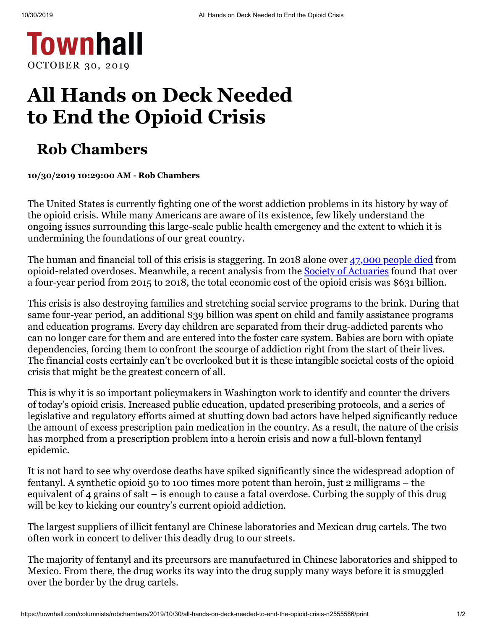

## **All Hands on Deck Needed to End the Opioid Crisis**

## **Rob Chambers**

**10/30/2019 10:29:00 AM - Rob Chambers**

The United States is currently fighting one of the worst addiction problems in its history by way of the opioid crisis. While many Americans are aware of its existence, few likely understand the ongoing issues surrounding this large-scale public health emergency and the extent to which it is undermining the foundations of our great country.

The human and financial toll of this crisis is staggering. In 2018 alone over [47,000](https://www.nytimes.com/interactive/2019/07/17/upshot/drug-overdose-deaths-fall.html) people died from opioid-related overdoses. Meanwhile, a recent analysis from the **Society of [Actuaries](https://www.soa.org/resources/announcements/press-releases/2019/opioid-epidemic-cost-631-billion/?homepagecard=)** found that over a four-year period from 2015 to 2018, the total economic cost of the opioid crisis was \$631 billion.

This crisis is also destroying families and stretching social service programs to the brink. During that same four-year period, an additional \$39 billion was spent on child and family assistance programs and education programs. Every day children are separated from their drug-addicted parents who can no longer care for them and are entered into the foster care system. Babies are born with opiate dependencies, forcing them to confront the scourge of addiction right from the start of their lives. The financial costs certainly can't be overlooked but it is these intangible societal costs of the opioid crisis that might be the greatest concern of all.

This is why it is so important policymakers in Washington work to identify and counter the drivers of today's opioid crisis. Increased public education, updated prescribing protocols, and a series of legislative and regulatory efforts aimed at shutting down bad actors have helped significantly reduce the amount of excess prescription pain medication in the country. As a result, the nature of the crisis has morphed from a prescription problem into a heroin crisis and now a full-blown fentanyl epidemic.

It is not hard to see why overdose deaths have spiked significantly since the widespread adoption of fentanyl. A synthetic opioid 50 to 100 times more potent than heroin, just 2 milligrams – the equivalent of 4 grains of salt – is enough to cause a fatal overdose. Curbing the supply of this drug will be key to kicking our country's current opioid addiction.

The largest suppliers of illicit fentanyl are Chinese laboratories and Mexican drug cartels. The two often work in concert to deliver this deadly drug to our streets.

The majority of fentanyl and its precursors are manufactured in Chinese laboratories and shipped to Mexico. From there, the drug works its way into the drug supply many ways before it is smuggled over the border by the drug cartels.